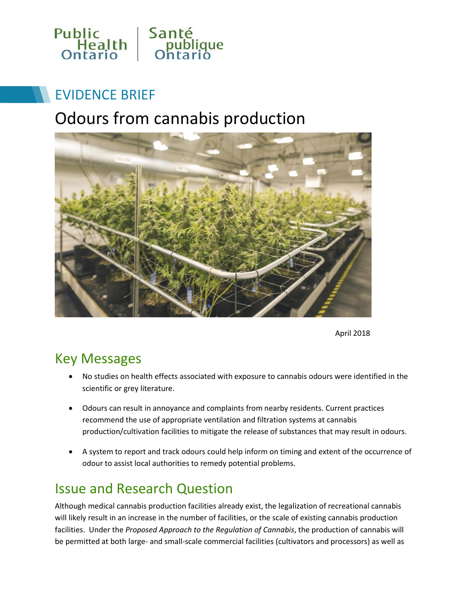

# EVIDENCE BRIEF

# Odours from cannabis production



April 2018

### Key Messages

- No studies on health effects associated with exposure to cannabis odours were identified in the scientific or grey literature.
- Odours can result in annoyance and complaints from nearby residents. Current practices recommend the use of appropriate ventilation and filtration systems at cannabis production/cultivation facilities to mitigate the release of substances that may result in odours.
- A system to report and track odours could help inform on timing and extent of the occurrence of odour to assist local authorities to remedy potential problems.

### Issue and Research Question

Although medical cannabis production facilities already exist, the legalization of recreational cannabis will likely result in an increase in the number of facilities, or the scale of existing cannabis production facilities. Under the *Proposed Approach to the Regulation of Cannabis*, the production of cannabis will be permitted at both large- and small-scale commercial facilities (cultivators and processors) as well as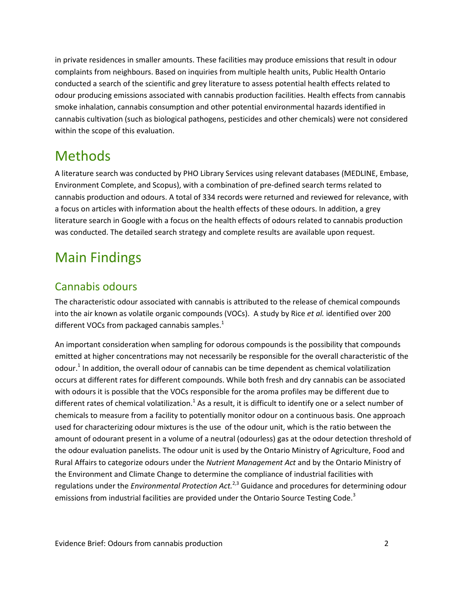in private residences in smaller amounts. These facilities may produce emissions that result in odour complaints from neighbours. Based on inquiries from multiple health units, Public Health Ontario conducted a search of the scientific and grey literature to assess potential health effects related to odour producing emissions associated with cannabis production facilities. Health effects from cannabis smoke inhalation, cannabis consumption and other potential environmental hazards identified in cannabis cultivation (such as biological pathogens, pesticides and other chemicals) were not considered within the scope of this evaluation.

### Methods

A literature search was conducted by PHO Library Services using relevant databases (MEDLINE, Embase, Environment Complete, and Scopus), with a combination of pre-defined search terms related to cannabis production and odours. A total of 334 records were returned and reviewed for relevance, with a focus on articles with information about the health effects of these odours. In addition, a grey literature search in Google with a focus on the health effects of odours related to cannabis production was conducted. The detailed search strategy and complete results are available upon request.

# Main Findings

#### Cannabis odours

The characteristic odour associated with cannabis is attributed to the release of chemical compounds into the air known as volatile organic compounds (VOCs). A study by Rice *et al.* identified over 200 different VOCs from packaged cannabis samples.<sup>1</sup>

An important consideration when sampling for odorous compounds is the possibility that compounds emitted at higher concentrations may not necessarily be responsible for the overall characteristic of the odour.<sup>1</sup> In addition, the overall odour of cannabis can be time dependent as chemical volatilization occurs at different rates for different compounds. While both fresh and dry cannabis can be associated with odours it is possible that the VOCs responsible for the aroma profiles may be different due to different rates of chemical volatilization.<sup>1</sup> As a result, it is difficult to identify one or a select number of chemicals to measure from a facility to potentially monitor odour on a continuous basis. One approach used for characterizing odour mixtures is the use of the odour unit, which is the ratio between the amount of odourant present in a volume of a neutral (odourless) gas at the odour detection threshold of the odour evaluation panelists. The odour unit is used by the Ontario Ministry of Agriculture, Food and Rural Affairs to categorize odours under the *Nutrient Management Act* and by the Ontario Ministry of the Environment and Climate Change to determine the compliance of industrial facilities with regulations under the *Environmental Protection Act.*2,3 Guidance and procedures for determining odour emissions from industrial facilities are provided under the Ontario Source Testing Code.<sup>3</sup>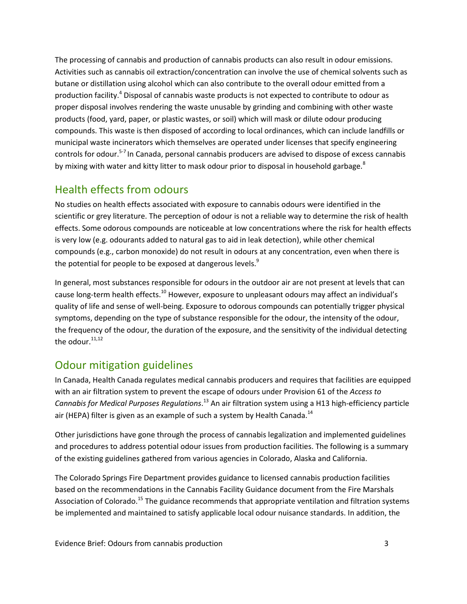The processing of cannabis and production of cannabis products can also result in odour emissions. Activities such as cannabis oil extraction/concentration can involve the use of chemical solvents such as butane or distillation using alcohol which can also contribute to the overall odour emitted from a production facility.<sup>4</sup> Disposal of cannabis waste products is not expected to contribute to odour as proper disposal involves rendering the waste unusable by grinding and combining with other waste products (food, yard, paper, or plastic wastes, or soil) which will mask or dilute odour producing compounds. This waste is then disposed of according to local ordinances, which can include landfills or municipal waste incinerators which themselves are operated under licenses that specify engineering controls for odour.<sup>5-7</sup> In Canada, personal cannabis producers are advised to dispose of excess cannabis by mixing with water and kitty litter to mask odour prior to disposal in household garbage.<sup>8</sup>

#### Health effects from odours

No studies on health effects associated with exposure to cannabis odours were identified in the scientific or grey literature. The perception of odour is not a reliable way to determine the risk of health effects. Some odorous compounds are noticeable at low concentrations where the risk for health effects is very low (e.g. odourants added to natural gas to aid in leak detection), while other chemical compounds (e.g., carbon monoxide) do not result in odours at any concentration, even when there is the potential for people to be exposed at dangerous levels.<sup>9</sup>

In general, most substances responsible for odours in the outdoor air are not present at levels that can cause long-term health effects.<sup>10</sup> However, exposure to unpleasant odours may affect an individual's quality of life and sense of well-being. Exposure to odorous compounds can potentially trigger physical symptoms, depending on the type of substance responsible for the odour, the intensity of the odour, the frequency of the odour, the duration of the exposure, and the sensitivity of the individual detecting the odour. $11,12$ 

#### Odour mitigation guidelines

In Canada, Health Canada regulates medical cannabis producers and requires that facilities are equipped with an air filtration system to prevent the escape of odours under Provision 61 of the *Access to*  Cannabis for Medical Purposes Regulations.<sup>13</sup> An air filtration system using a H13 high-efficiency particle air (HEPA) filter is given as an example of such a system by Health Canada.<sup>14</sup>

Other jurisdictions have gone through the process of cannabis legalization and implemented guidelines and procedures to address potential odour issues from production facilities. The following is a summary of the existing guidelines gathered from various agencies in Colorado, Alaska and California.

The Colorado Springs Fire Department provides guidance to licensed cannabis production facilities based on the recommendations in the Cannabis Facility Guidance document from the Fire Marshals Association of Colorado.<sup>15</sup> The guidance recommends that appropriate ventilation and filtration systems be implemented and maintained to satisfy applicable local odour nuisance standards. In addition, the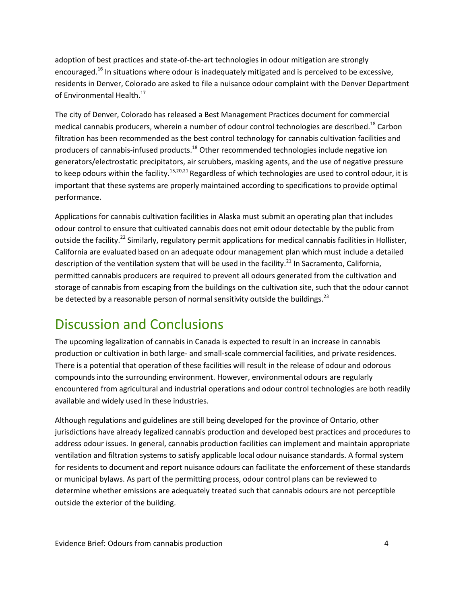adoption of best practices and state-of-the-art technologies in odour mitigation are strongly encouraged.<sup>16</sup> In situations where odour is inadequately mitigated and is perceived to be excessive, residents in Denver, Colorado are asked to file a nuisance odour complaint with the Denver Department of Environmental Health.<sup>17</sup>

The city of Denver, Colorado has released a Best Management Practices document for commercial medical cannabis producers, wherein a number of odour control technologies are described.<sup>18</sup> Carbon filtration has been recommended as the best control technology for cannabis cultivation facilities and producers of cannabis-infused products.<sup>18</sup> Other recommended technologies include negative ion generators/electrostatic precipitators, air scrubbers, masking agents, and the use of negative pressure to keep odours within the facility.<sup>15,20,21</sup> Regardless of which technologies are used to control odour, it is important that these systems are properly maintained according to specifications to provide optimal performance.

Applications for cannabis cultivation facilities in Alaska must submit an operating plan that includes odour control to ensure that cultivated cannabis does not emit odour detectable by the public from outside the facility.<sup>22</sup> Similarly, regulatory permit applications for medical cannabis facilities in Hollister, California are evaluated based on an adequate odour management plan which must include a detailed description of the ventilation system that will be used in the facility.<sup>21</sup> In Sacramento, California, permitted cannabis producers are required to prevent all odours generated from the cultivation and storage of cannabis from escaping from the buildings on the cultivation site, such that the odour cannot be detected by a reasonable person of normal sensitivity outside the buildings.<sup>23</sup>

## Discussion and Conclusions

The upcoming legalization of cannabis in Canada is expected to result in an increase in cannabis production or cultivation in both large- and small-scale commercial facilities, and private residences. There is a potential that operation of these facilities will result in the release of odour and odorous compounds into the surrounding environment. However, environmental odours are regularly encountered from agricultural and industrial operations and odour control technologies are both readily available and widely used in these industries.

Although regulations and guidelines are still being developed for the province of Ontario, other jurisdictions have already legalized cannabis production and developed best practices and procedures to address odour issues. In general, cannabis production facilities can implement and maintain appropriate ventilation and filtration systems to satisfy applicable local odour nuisance standards. A formal system for residents to document and report nuisance odours can facilitate the enforcement of these standards or municipal bylaws. As part of the permitting process, odour control plans can be reviewed to determine whether emissions are adequately treated such that cannabis odours are not perceptible outside the exterior of the building.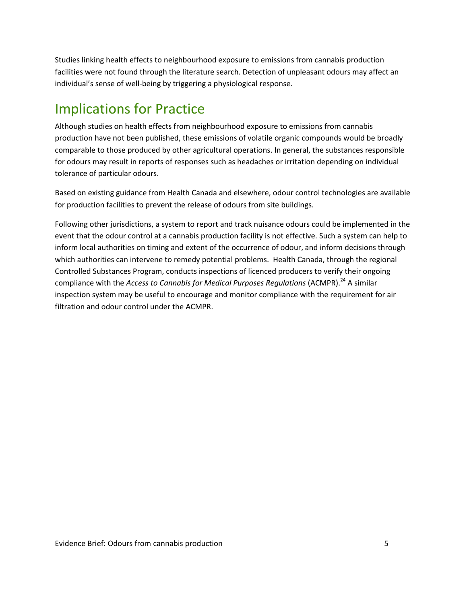Studies linking health effects to neighbourhood exposure to emissions from cannabis production facilities were not found through the literature search. Detection of unpleasant odours may affect an individual's sense of well-being by triggering a physiological response.

## Implications for Practice

Although studies on health effects from neighbourhood exposure to emissions from cannabis production have not been published, these emissions of volatile organic compounds would be broadly comparable to those produced by other agricultural operations. In general, the substances responsible for odours may result in reports of responses such as headaches or irritation depending on individual tolerance of particular odours.

Based on existing guidance from Health Canada and elsewhere, odour control technologies are available for production facilities to prevent the release of odours from site buildings.

Following other jurisdictions, a system to report and track nuisance odours could be implemented in the event that the odour control at a cannabis production facility is not effective. Such a system can help to inform local authorities on timing and extent of the occurrence of odour, and inform decisions through which authorities can intervene to remedy potential problems. Health Canada, through the regional Controlled Substances Program, conducts inspections of licenced producers to verify their ongoing compliance with the *Access to Cannabis for Medical Purposes Regulations* (ACMPR). 24 A similar inspection system may be useful to encourage and monitor compliance with the requirement for air filtration and odour control under the ACMPR.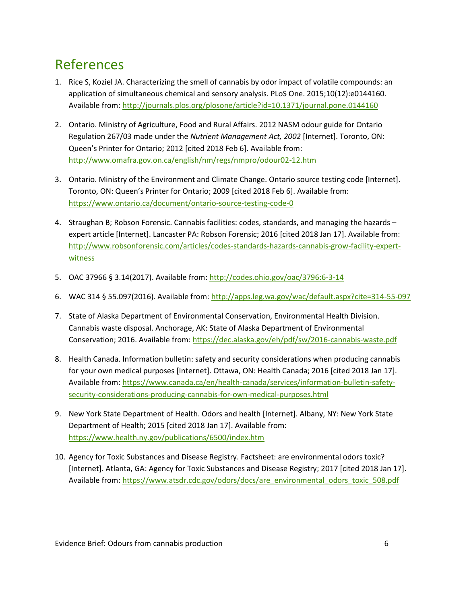## References

- 1. Rice S, Koziel JA. Characterizing the smell of cannabis by odor impact of volatile compounds: an application of simultaneous chemical and sensory analysis. PLoS One. 2015;10(12):e0144160. Available from[: http://journals.plos.org/plosone/article?id=10.1371/journal.pone.0144160](http://journals.plos.org/plosone/article?id=10.1371/journal.pone.0144160)
- 2. Ontario. Ministry of Agriculture, Food and Rural Affairs. 2012 NASM odour guide for Ontario Regulation 267/03 made under the *Nutrient Management Act, 2002* [Internet]. Toronto, ON: Queen's Printer for Ontario; 2012 [cited 2018 Feb 6]. Available from: <http://www.omafra.gov.on.ca/english/nm/regs/nmpro/odour02-12.htm>
- 3. Ontario. Ministry of the Environment and Climate Change. Ontario source testing code [Internet]. Toronto, ON: Queen's Printer for Ontario; 2009 [cited 2018 Feb 6]. Available from: <https://www.ontario.ca/document/ontario-source-testing-code-0>
- 4. Straughan B; Robson Forensic. Cannabis facilities: codes, standards, and managing the hazards expert article [Internet]. Lancaster PA: Robson Forensic; 2016 [cited 2018 Jan 17]. Available from: [http://www.robsonforensic.com/articles/codes-standards-hazards-cannabis-grow-facility-expert](http://www.robsonforensic.com/articles/codes-standards-hazards-marijuana-grow-facility-expert-witness)[witness](http://www.robsonforensic.com/articles/codes-standards-hazards-marijuana-grow-facility-expert-witness)
- 5. OAC 37966 § 3.14(2017). Available from: <http://codes.ohio.gov/oac/3796:6-3-14>
- 6. WAC 314 § 55.097(2016). Available from:<http://apps.leg.wa.gov/wac/default.aspx?cite=314-55-097>
- 7. State of Alaska Department of Environmental Conservation, Environmental Health Division. Cannabis waste disposal. Anchorage, AK: State of Alaska Department of Environmental Conservation; 2016. Available from[: https://dec.alaska.gov/eh/pdf/sw/2016-cannabis-waste.pdf](https://dec.alaska.gov/eh/pdf/sw/2016-marijuana-waste.pdf)
- 8. Health Canada. Information bulletin: safety and security considerations when producing cannabis for your own medical purposes [Internet]. Ottawa, ON: Health Canada; 2016 [cited 2018 Jan 17]. Available from[: https://www.canada.ca/en/health-canada/services/information-bulletin-safety](https://www.canada.ca/en/health-canada/services/information-bulletin-safety-security-considerations-producing-cannabis-for-own-medical-purposes.html)[security-considerations-producing-cannabis-for-own-medical-purposes.html](https://www.canada.ca/en/health-canada/services/information-bulletin-safety-security-considerations-producing-cannabis-for-own-medical-purposes.html)
- 9. New York State Department of Health. Odors and health [Internet]. Albany, NY: New York State Department of Health; 2015 [cited 2018 Jan 17]. Available from: <https://www.health.ny.gov/publications/6500/index.htm>
- 10. Agency for Toxic Substances and Disease Registry. Factsheet: are environmental odors toxic? [Internet]. Atlanta, GA: Agency for Toxic Substances and Disease Registry; 2017 [cited 2018 Jan 17]. Available from[: https://www.atsdr.cdc.gov/odors/docs/are\\_environmental\\_odors\\_toxic\\_508.pdf](https://www.atsdr.cdc.gov/odors/docs/are_environmental_odors_toxic_508.pdf)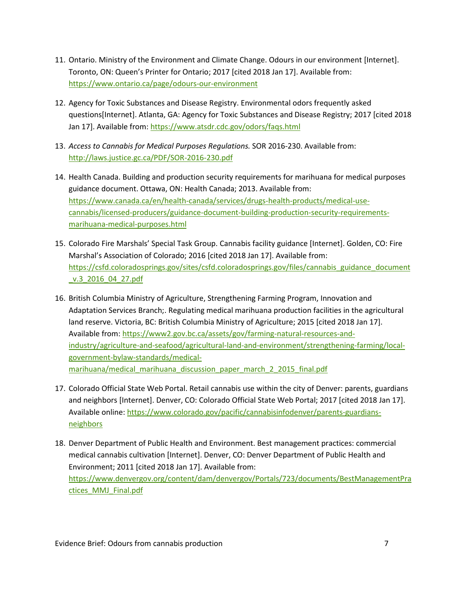- 11. Ontario. Ministry of the Environment and Climate Change. Odours in our environment [Internet]. Toronto, ON: Queen's Printer for Ontario; 2017 [cited 2018 Jan 17]. Available from: <https://www.ontario.ca/page/odours-our-environment>
- 12. Agency for Toxic Substances and Disease Registry. Environmental odors frequently asked questions[Internet]. Atlanta, GA: Agency for Toxic Substances and Disease Registry; 2017 [cited 2018 Jan 17]. Available from:<https://www.atsdr.cdc.gov/odors/faqs.html>
- 13. *Access to Cannabis for Medical Purposes Regulations.* SOR 2016-230. Available from[:](http://laws.justice.gc.ca/PDF/SOR-2016-230.pdf) <http://laws.justice.gc.ca/PDF/SOR-2016-230.pdf>
- 14. Health Canada. Building and production security requirements for marihuana for medical purposes guidance document. Ottawa, ON: Health Canada; 2013. Available from: [https://www.canada.ca/en/health-canada/services/drugs-health-products/medical-use](https://www.canada.ca/en/health-canada/services/drugs-health-products/medical-use-marijuana/licensed-producers/guidance-document-building-production-security-requirements-marihuana-medical-purposes.html)[cannabis/licensed-producers/guidance-document-building-production-security-requirements](https://www.canada.ca/en/health-canada/services/drugs-health-products/medical-use-marijuana/licensed-producers/guidance-document-building-production-security-requirements-marihuana-medical-purposes.html)[marihuana-medical-purposes.html](https://www.canada.ca/en/health-canada/services/drugs-health-products/medical-use-marijuana/licensed-producers/guidance-document-building-production-security-requirements-marihuana-medical-purposes.html)
- 15. Colorado Fire Marshals' Special Task Group. Cannabis facility guidance [Internet]. Golden, CO: Fire Marshal's Association of Colorado; 2016 [cited 2018 Jan 17]. Available from: [https://csfd.coloradosprings.gov/sites/csfd.coloradosprings.gov/files/cannabis\\_guidance\\_document](https://csfd.coloradosprings.gov/sites/csfd.coloradosprings.gov/files/marijuana_guidance_document_v.3_2016_04_27.pdf) [\\_v.3\\_2016\\_04\\_27.pdf](https://csfd.coloradosprings.gov/sites/csfd.coloradosprings.gov/files/marijuana_guidance_document_v.3_2016_04_27.pdf)
- 16. British Columbia Ministry of Agriculture, Strengthening Farming Program, Innovation and Adaptation Services Branch;. Regulating medical marihuana production facilities in the agricultural land reserve. Victoria, BC: British Columbia Ministry of Agriculture; 2015 [cited 2018 Jan 17]. Available from[: https://www2.gov.bc.ca/assets/gov/farming-natural-resources-and](https://www2.gov.bc.ca/assets/gov/farming-natural-resources-and-industry/agriculture-and-seafood/agricultural-land-and-environment/strengthening-farming/local-government-bylaw-standards/medical-marihuana/medical_marihuana_discussion_paper_march_2_2015_fina)[industry/agriculture-and-seafood/agricultural-land-and-environment/strengthening-farming/local](https://www2.gov.bc.ca/assets/gov/farming-natural-resources-and-industry/agriculture-and-seafood/agricultural-land-and-environment/strengthening-farming/local-government-bylaw-standards/medical-marihuana/medical_marihuana_discussion_paper_march_2_2015_fina)[government-bylaw-standards/medical](https://www2.gov.bc.ca/assets/gov/farming-natural-resources-and-industry/agriculture-and-seafood/agricultural-land-and-environment/strengthening-farming/local-government-bylaw-standards/medical-marihuana/medical_marihuana_discussion_paper_march_2_2015_fina)[marihuana/medical\\_marihuana\\_discussion\\_paper\\_march\\_2\\_2015\\_final.pdf](https://www2.gov.bc.ca/assets/gov/farming-natural-resources-and-industry/agriculture-and-seafood/agricultural-land-and-environment/strengthening-farming/local-government-bylaw-standards/medical-marihuana/medical_marihuana_discussion_paper_march_2_2015_fina)
- 17. Colorado Official State Web Portal. Retail cannabis use within the city of Denver: parents, guardians and neighbors [Internet]. Denver, CO: Colorado Official State Web Portal; 2017 [cited 2018 Jan 17]. Available online[: https://www.colorado.gov/pacific/cannabisinfodenver/parents-guardians](https://www.colorado.gov/pacific/marijuanainfodenver/parents-guardians-neighbors)[neighbors](https://www.colorado.gov/pacific/marijuanainfodenver/parents-guardians-neighbors)
- 18. Denver Department of Public Health and Environment. Best management practices: commercial medical cannabis cultivation [Internet]. Denver, CO: Denver Department of Public Health and Environment; 2011 [cited 2018 Jan 17]. Available from: [https://www.denvergov.org/content/dam/denvergov/Portals/723/documents/BestManagementPra](https://www.denvergov.org/content/dam/denvergov/Portals/723/documents/BestManagementPractices_MMJ_Final.pdf) [ctices\\_MMJ\\_Final.pdf](https://www.denvergov.org/content/dam/denvergov/Portals/723/documents/BestManagementPractices_MMJ_Final.pdf)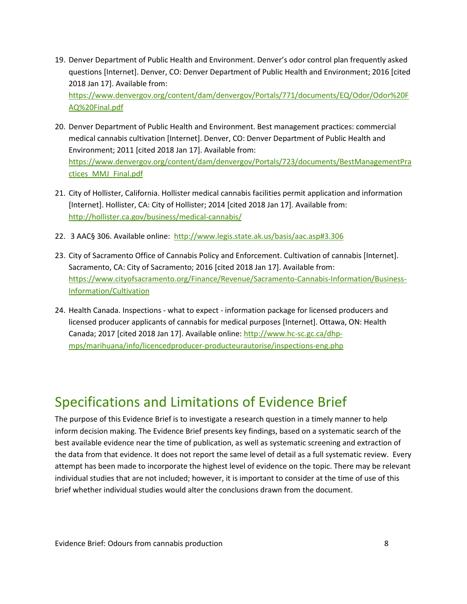19. Denver Department of Public Health and Environment. Denver's odor control plan frequently asked questions [Internet]. Denver, CO: Denver Department of Public Health and Environment; 2016 [cited 2018 Jan 17]. Available from:

[https://www.denvergov.org/content/dam/denvergov/Portals/771/documents/EQ/Odor/Odor%20F](https://www.denvergov.org/content/dam/denvergov/Portals/771/documents/EQ/Odor/Odor%20FAQ%20Final.pdf) [AQ%20Final.pdf](https://www.denvergov.org/content/dam/denvergov/Portals/771/documents/EQ/Odor/Odor%20FAQ%20Final.pdf)

- 20. Denver Department of Public Health and Environment. Best management practices: commercial medical cannabis cultivation [Internet]. Denver, CO: Denver Department of Public Health and Environment; 2011 [cited 2018 Jan 17]. Available from: [https://www.denvergov.org/content/dam/denvergov/Portals/723/documents/BestManagementPra](https://www.denvergov.org/content/dam/denvergov/Portals/723/documents/BestManagementPractices_MMJ_Final.pdf) [ctices\\_MMJ\\_Final.pdf](https://www.denvergov.org/content/dam/denvergov/Portals/723/documents/BestManagementPractices_MMJ_Final.pdf)
- 21. City of Hollister, California. Hollister medical cannabis facilities permit application and information [Internet]. Hollister, CA: City of Hollister; 2014 [cited 2018 Jan 17]. Available from: <http://hollister.ca.gov/business/medical-cannabis/>
- 22. 3 AAC§ 306. Available online: [http://www.legis.state.ak.us/basis/aac.asp#3.306](http://www.legis.state.ak.us/basis/aac.asp%233.306)
- 23. City of Sacramento Office of Cannabis Policy and Enforcement. Cultivation of cannabis [Internet]. Sacramento, CA: City of Sacramento; 2016 [cited 2018 Jan 17]. Available from: [https://www.cityofsacramento.org/Finance/Revenue/Sacramento-Cannabis-Information/Business-](https://www.cityofsacramento.org/Finance/Revenue/Sacramento-Marijuana-Information/Business-Information/Cultivation)[Information/Cultivation](https://www.cityofsacramento.org/Finance/Revenue/Sacramento-Marijuana-Information/Business-Information/Cultivation)
- 24. Health Canada. Inspections what to expect information package for licensed producers and licensed producer applicants of cannabis for medical purposes [Internet]. Ottawa, ON: Health Canada; 2017 [cited 2018 Jan 17]. Available online[: http://www.hc-sc.gc.ca/dhp](http://www.hc-sc.gc.ca/dhp-mps/marihuana/info/licencedproducer-producteurautorise/inspections-eng.php)[mps/marihuana/info/licencedproducer-producteurautorise/inspections-eng.php](http://www.hc-sc.gc.ca/dhp-mps/marihuana/info/licencedproducer-producteurautorise/inspections-eng.php)

### Specifications and Limitations of Evidence Brief

The purpose of this Evidence Brief is to investigate a research question in a timely manner to help inform decision making. The Evidence Brief presents key findings, based on a systematic search of the best available evidence near the time of publication, as well as systematic screening and extraction of the data from that evidence. It does not report the same level of detail as a full systematic review. Every attempt has been made to incorporate the highest level of evidence on the topic. There may be relevant individual studies that are not included; however, it is important to consider at the time of use of this brief whether individual studies would alter the conclusions drawn from the document.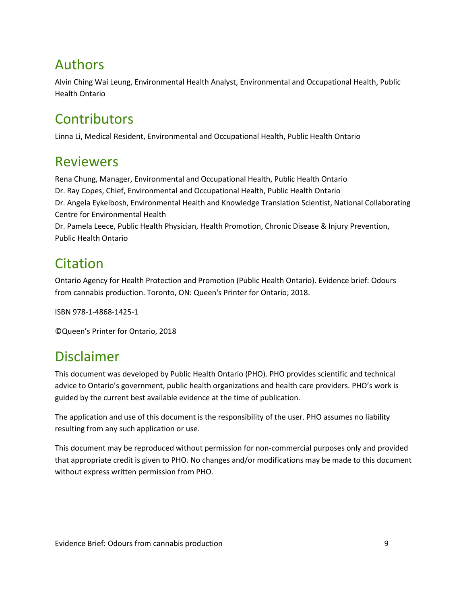## Authors

Alvin Ching Wai Leung, Environmental Health Analyst, Environmental and Occupational Health, Public Health Ontario

# **Contributors**

Linna Li, Medical Resident, Environmental and Occupational Health, Public Health Ontario

#### Reviewers

Rena Chung, Manager, Environmental and Occupational Health, Public Health Ontario Dr. Ray Copes, Chief, Environmental and Occupational Health, Public Health Ontario Dr. Angela Eykelbosh, Environmental Health and Knowledge Translation Scientist, National Collaborating Centre for Environmental Health Dr. Pamela Leece, Public Health Physician, Health Promotion, Chronic Disease & Injury Prevention, Public Health Ontario

## **Citation**

Ontario Agency for Health Protection and Promotion (Public Health Ontario). Evidence brief: Odours from cannabis production. Toronto, ON: Queen's Printer for Ontario; 2018.

ISBN 978-1-4868-1425-1

©Queen's Printer for Ontario, 2018

### Disclaimer

This document was developed by Public Health Ontario (PHO). PHO provides scientific and technical advice to Ontario's government, public health organizations and health care providers. PHO's work is guided by the current best available evidence at the time of publication.

The application and use of this document is the responsibility of the user. PHO assumes no liability resulting from any such application or use.

This document may be reproduced without permission for non-commercial purposes only and provided that appropriate credit is given to PHO. No changes and/or modifications may be made to this document without express written permission from PHO.